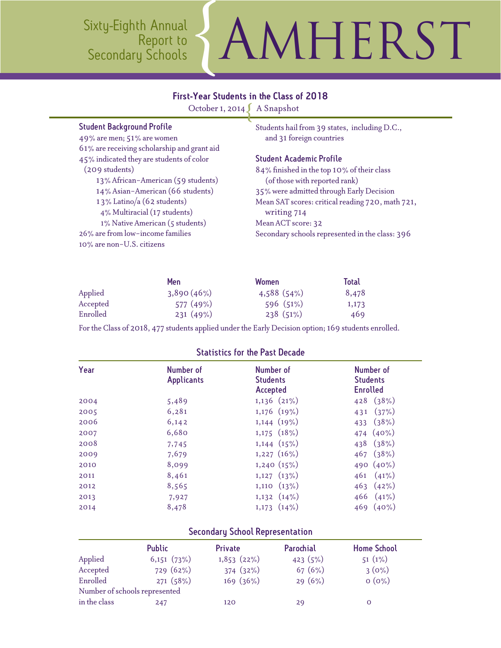Sixty-Eighth Annual Report to<br>Secondary Schools MHERST

### First-Year Students in the Class of 2018

October 1, 2014 A Snapshot

| <b>Student Background Profile</b> |  |  |
|-----------------------------------|--|--|
|-----------------------------------|--|--|

49% are men; 51% are women 61% are receiving scholarship and grant aid 45% indicated they are students of color (209 students) 13% African-American (59 students) 14% Asian-American (66 students) 1 3% Latino/a (62 students) 4% Multiracial (17 students) 1% Native American (5 students) 26% are from low-income families 10% are non-U.S. citizens

Students hail from 39 states, including D.C., and 31 foreign countries

### Student Academic Profile

84% finished in the top 10% of their class (of those with reported rank) 35% were admitted through Early Decision Mean SAT scores: critical reading 720, math 721, writing 714 Mean ACT score: 32 Secondary schools represented in the class: 396

|          | <b>Men</b> | <b>Women</b> | <b>Total</b> |
|----------|------------|--------------|--------------|
| Applied  | 3,890(46%) | 4,588(54%)   | 8,478        |
| Accepted | 577(49%)   | 596(51%)     | 1,173        |
| Enrolled | 231(49%)   | 238(51%)     | 469          |

For the Class of 2018, 477 students applied under the Early Decision option; 169 students enrolled.

| Year | Number of<br><b>Applicants</b> | Number of<br><b>Students</b><br><b>Accepted</b> | Number of<br><b>Students</b><br><b>Enrolled</b> |
|------|--------------------------------|-------------------------------------------------|-------------------------------------------------|
| 2004 | 5,489                          | $1,136$ $(21\%)$                                | 428 $(38\%)$                                    |
| 2005 | 6,281                          | $1,176$ $(19\%)$                                | (37%)<br>431                                    |
| 2006 | 6,142                          | $1,144$ $(19\%)$                                | (38%)<br>433                                    |
| 2007 | 6,680                          | $1,175$ $(18\%)$                                | 474 (40%)                                       |
| 2008 | 7,745                          | $1,144$ $(15\%)$                                | 438 (38%)                                       |
| 2009 | 7,679                          | $1,227$ $(16\%)$                                | $467$ $(38\%)$                                  |
| 2010 | 8,099                          | 1,240(15%)                                      | 490 $(40\%)$                                    |
| 2011 | 8,461                          | $1,127$ $(13\%)$                                | $(41\%)$<br>461                                 |
| 2012 | 8,565                          | $1,110$ $(13\%)$                                | 463(42%)                                        |
| 2013 | 7,927                          | $1,132$ $(14\%)$                                | 466 $(41\%)$                                    |
| 2014 | 8,478                          | $1,173$ $(14\%)$                                | $469(40\%)$                                     |
|      |                                |                                                 |                                                 |

### Statistics for the Past Decade

### Secondary School Representation

|              | <b>Public</b>                 | <b>Private</b> | Parochial | <b>Home School</b> |
|--------------|-------------------------------|----------------|-----------|--------------------|
| Applied      | 6,151(73%)                    | 1,853(22%)     | 423(5%)   | $51(1\%)$          |
| Accepted     | 729(62%)                      | 374(32%)       | 67 $(6%)$ | $3(0\%)$           |
| Enrolled     | 271(58%)                      | 169(36%)       | 29(6%)    | $O(0\%)$           |
|              | Number of schools represented |                |           |                    |
| in the class | 247                           | 120            | 29        |                    |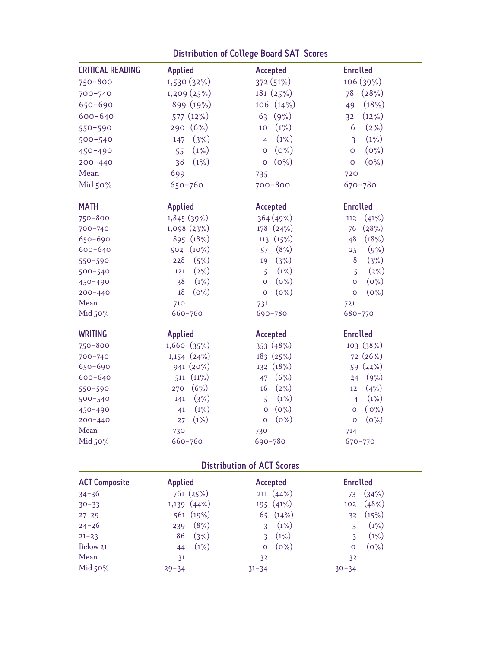| <b>CRITICAL READING</b> | <b>Applied</b>   | Accepted                  | <b>Enrolled</b>           |
|-------------------------|------------------|---------------------------|---------------------------|
| $750 - 800$             | 1,530 (32%)      | 372 (51%)                 | 106 (39%)                 |
| 700-740                 | 1,209 (25%)      | 181 (25%)                 | (28%)<br>78               |
| $650 - 690$             | 899 (19%)        | 106(14%)                  | (18%)<br>49               |
| $600 - 640$             | 577 (12%)        | (9%)<br>63                | (12%)<br>32               |
| $550 - 590$             | 290 (6%)         | (1%)<br>10                | $(2\%)$<br>6              |
| $500 - 540$             | (3%)<br>147      | $(1\%)$<br>$\overline{4}$ | $(1\%)$<br>3              |
| $450 - 490$             | $(1\%)$<br>55    | $(0\%)$<br>$\overline{O}$ | $(0\%)$<br>$\overline{O}$ |
| $200 - 440$             | 38<br>(1%)       | $(0\%)$<br>$\mathsf O$    | $(0\%)$<br>$\mathsf O$    |
| Mean                    | 699              | 735                       | 720                       |
| Mid 50%                 | $650 - 760$      | $700 - 800$               | $670 - 780$               |
| <b>MATH</b>             | Applied          | Accepted                  | <b>Enrolled</b>           |
| $750 - 800$             | 1,845 (39%)      | 364 (49%)                 | (41%)<br>112              |
| 700-740                 | 1,098 (23%)      | 178 (24%)                 | (28%)<br>76               |
| 650-690                 | 895 (18%)        | 113 (15%)                 | 48<br>(18%)               |
| 600-640                 | $(10\%)$<br>502  | (8% )<br>57               | (9% )<br>25               |
| 550-590                 | (5%)<br>228      | (3%)<br>19                | (3%)<br>8                 |
| $500 - 540$             | $(2\%)$<br>121   | (1%)<br>$\overline{5}$    | (2%)<br>$\overline{5}$    |
| 450-490                 | (1%)<br>38       | $(0\%)$<br>$\overline{O}$ | $(0\%)$<br>$\overline{O}$ |
| $200 - 440$             | 18<br>$(0\%)$    | $(0\%)$<br>$\mathbf 0$    | $(0\%)$<br>$\mathbf 0$    |
| Mean                    | 710              | 731                       | 721                       |
| Mid 50%                 | $660 - 760$      | 690-780                   | 680-770                   |
| <b>WRITING</b>          | Applied          | Accepted                  | <b>Enrolled</b>           |
| $750 - 800$             | 1,660 (35%)      | 353 (48%)                 | 103 (38%)                 |
| 700-740                 | $1,154$ $(24\%)$ | 183 (25%)                 | 72(26%)                   |
| 650-690                 | 941 (20%)        | 132 (18%)                 | 59 (22%)                  |
| $600 - 640$             | $511(11\%)$      | (6%)<br>47                | (9%)<br>24                |
| 550-590                 | (6%)<br>270      | (2%)<br>16                | (4% )<br>12               |
| $500 - 540$             | (3%)<br>141      | $(1\%)$<br>$\overline{5}$ | $(1\%)$<br>$\overline{4}$ |
| 450-490                 | (1%)<br>41       | $(0\%)$<br>$\mathbf 0$    | $(0\%)$<br>$\mathsf O$    |
| $200 - 440$             | (1%)<br>27       | $(0\%)$<br>$\mathsf O$    | $(0\%)$<br>$\mathbf 0$    |
| Mean                    | 730              | 730                       | 714                       |
| Mid 50%                 | $660 - 760$      | 690-780                   | $670 - 770$               |

# Distribution of College Board SAT Scores

# Distribution of ACT Scores

| <b>ACT Composite</b> | <b>Applied</b>   | Accepted                | <b>Enrolled</b>    |
|----------------------|------------------|-------------------------|--------------------|
| $34 - 36$            | 761(25%)         | $211 \ (44\%)$          | (34%)<br>73        |
| $30 - 33$            | $1,139$ $(44\%)$ | 195 $(41\%)$            | (48%)<br>102       |
| $27 - 29$            | 561 (19%)        | 65 $(14\%)$             | (15%)<br>32        |
| $24 - 26$            | (8%)<br>239      | $(1\%)$<br>3            | $(1\%)$<br>₹       |
| $21 - 23$            | (3%)<br>86       | (1%)<br>3               | $(1\%)$            |
| Below 21             | $(1\%)$<br>44    | $(0\%)$<br>$\mathbf{O}$ | $(0\%)$<br>$\circ$ |
| Mean                 | 31               | 32                      | 32                 |
| Mid $50\%$           | $29 - 34$        | $31 - 34$               | $30 - 34$          |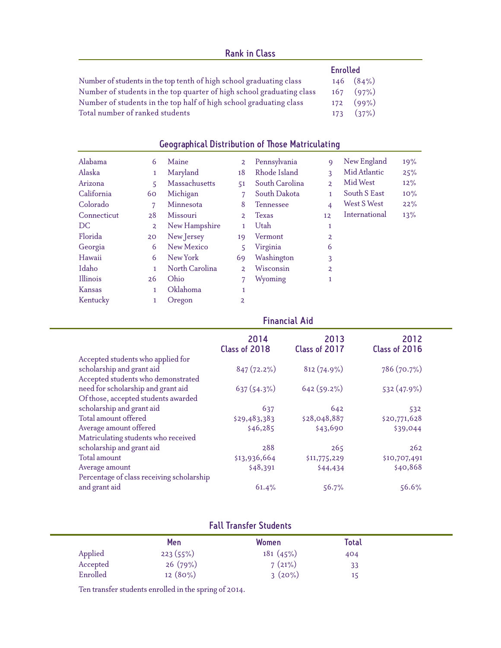|                                                                       |     | <b>Enrolled</b> |
|-----------------------------------------------------------------------|-----|-----------------|
| Number of students in the top tenth of high school graduating class   |     | $146$ $(84\%)$  |
| Number of students in the top quarter of high school graduating class |     | $167$ $(97\%)$  |
| Number of students in the top half of high school graduating class    | 172 | $(99\%)$        |
| Total number of ranked students                                       |     | 173(37%)        |

## Geographical Distribution of Those Matriculating

| Alabama       | 6              | Maine          | $\overline{2}$ | Pennsylvania     | $\mathbf Q$    | New England   | 19% |
|---------------|----------------|----------------|----------------|------------------|----------------|---------------|-----|
| Alaska        | 1              | Maryland       | 18             | Rhode Island     | 3              | Mid Atlantic  | 25% |
| Arizona       | 5.             | Massachusetts  | 51             | South Carolina   | $\overline{2}$ | Mid West      | 12% |
| California    | 60             | Michigan       |                | South Dakota     |                | South S East  | 10% |
| Colorado      | 7              | Minnesota      | 8              | <b>Tennessee</b> | 4              | West S West   | 22% |
| Connecticut   | 28             | Missouri       | 2              | <b>Texas</b>     | 12             | International | 13% |
| DC.           | $\overline{2}$ | New Hampshire  | 1              | Utah             | 1              |               |     |
| Florida       | 20             | New Jersey     | 19             | Vermont          | $\overline{2}$ |               |     |
| Georgia       | 6              | New Mexico     | 5              | Virginia         | 6              |               |     |
| Hawaii        | 6              | New York       | 69             | Washington       | 3              |               |     |
| Idaho         | 1.             | North Carolina | $\overline{2}$ | Wisconsin        | $\overline{2}$ |               |     |
| Illinois      | 26             | Ohio           | $\overline{7}$ | Wyoming          | 1              |               |     |
| <b>Kansas</b> | 1.             | Oklahoma       | 1              |                  |                |               |     |
| Kentucky      | 1              | Oregon         | $\overline{a}$ |                  |                |               |     |

|                                           | 2014<br>Class of 2018 | 2013<br>Class of 2017 | 2012<br>Class of 2016 |
|-------------------------------------------|-----------------------|-----------------------|-----------------------|
| Accepted students who applied for         |                       |                       |                       |
| scholarship and grant aid                 | $847(72.2\%)$         | $812(74.9\%)$         | 786 (70.7%)           |
| Accepted students who demonstrated        |                       |                       |                       |
| need for scholarship and grant aid        | 637(54.3%)            | $642(59.2\%)$         | 532 (47.9%)           |
| Of those, accepted students awarded       |                       |                       |                       |
| scholarship and grant aid                 | 637                   | 642                   | 532                   |
| Total amount offered                      | \$29,483,383          | \$28,048,887          | \$20,771,628          |
| Average amount offered                    | \$46,285              | \$43,690              | \$39,044              |
| Matriculating students who received       |                       |                       |                       |
| scholarship and grant aid                 | 288                   | 265                   | 262                   |
| Total amount                              | \$13,936,664          | \$11,775,229          | \$10,707,491          |
| Average amount                            | \$48,391              | \$44,434              | \$40,868              |
| Percentage of class receiving scholarship |                       |                       |                       |
| and grant aid                             | 61.4%                 | 56.7%                 | 56.6%                 |
|                                           |                       |                       |                       |

Financial Aid

## Fall Transfer Students

|          | <b>Men</b> | Women    | Total |
|----------|------------|----------|-------|
| Applied  | 223(55%)   | 181(45%) | 404   |
| Accepted | 26(79%)    | 7(21%)   | 33    |
| Enrolled | $12(80\%)$ | 3(20%)   | 15    |

Ten transfer students enrolled in the spring of 2014.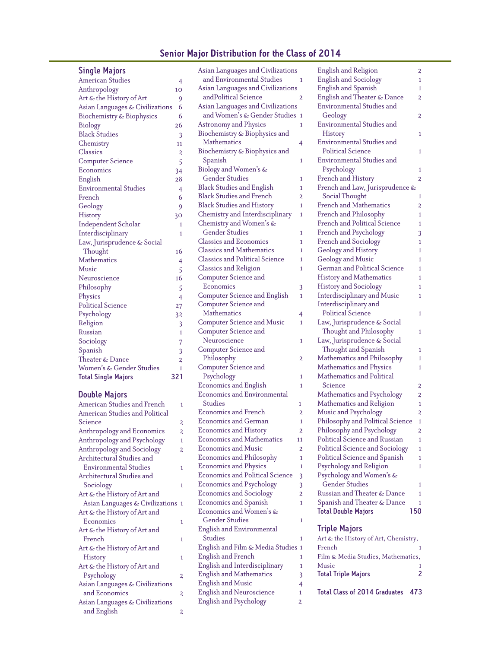### Senior Major Distribution for the Class of 2014

### Single Majors

| <b>American Studies</b>         | $\overline{4}$          |
|---------------------------------|-------------------------|
| Anthropology                    | 10                      |
| Art & the History of Art        | 9                       |
| Asian Languages & Civilizations | 6                       |
| Biochemistry & Biophysics       | 6                       |
| <b>Biology</b>                  | 26                      |
| <b>Black Studies</b>            | 3                       |
| Chemistry                       | 11                      |
| Classics                        | $\overline{a}$          |
| <b>Computer Science</b>         | 5                       |
| Economics                       | 34                      |
| English                         | 28                      |
| <b>Environmental Studies</b>    | $\overline{4}$          |
| French                          | 6                       |
| Geology                         | 9                       |
| History                         | 30                      |
| <b>Independent Scholar</b>      | 1                       |
| Interdisciplinary               | 1                       |
| Law, Jurisprudence & Social     |                         |
| Thought                         | 16                      |
| Mathematics                     | 4                       |
| Music                           | 5                       |
| Neuroscience                    | 16                      |
| Philosophy                      | 5                       |
| Physics                         | $\overline{4}$          |
| <b>Political Science</b>        | 27                      |
| Psychology                      | 32                      |
| Religion                        | 3                       |
| Russian                         | $\mathbf{1}$            |
| Sociology                       | 7                       |
| Spanish                         | $\overline{3}$          |
| Theater & Dance                 | $\overline{\mathbf{c}}$ |
| Women's & Gender Studies        | 1                       |
| <b>Total Single Majors</b>      | 321                     |

#### Double Majors

American Studies and French 1 American Studies and Political Science 2 Anthropology and Economics 2 Anthropology and Psychology 1 Anthropology and Sociology 2 Architectural Studies and Environmental Studies 1 Architectural Studies and Sociology 1 Art & the History of Art and Asian Languages & Civilizations 1 Art & the History of Art and Economics 1 Art & the History of Art and French 1 Art & the History of Art and History 1 Art & the History of Art and Psychology 2 Asian Languages & Civilizations and Economics 2 Asian Languages & Civilizations and English 2

| Asian Languages and Civilizations      |                |
|----------------------------------------|----------------|
| and Environmental Studies              | 1              |
| Asian Languages and Civilizations      |                |
| andPolitical Science                   | 2              |
| Asian Languages and Civilizations      |                |
| and Women's & Gender Studies           | 1              |
| <b>Astronomy and Physics</b>           | 1              |
| Biochemistry & Biophysics and          |                |
| <b>Mathematics</b>                     | 4              |
| Biochemistry & Biophysics and          |                |
| Spanish                                | 1              |
| Biology and Women's &                  |                |
| <b>Gender Studies</b>                  | 1              |
| <b>Black Studies and English</b>       | 1              |
| <b>Black Studies and French</b>        | $\overline{a}$ |
| <b>Black Studies and History</b>       | 1              |
| Chemistry and Interdisciplinary        | 1              |
| Chemistry and Women's &                |                |
| <b>Gender Studies</b>                  | 1              |
| <b>Classics and Economics</b>          | 1              |
| Classics and Mathematics               | 1              |
| <b>Classics and Political Science</b>  | 1              |
| <b>Classics and Religion</b>           | 1              |
| Computer Science and                   |                |
| Economics                              |                |
| <b>Computer Science and English</b>    | 3<br>1         |
| <b>Computer Science and</b>            |                |
|                                        |                |
| <b>Mathematics</b>                     | 4              |
| <b>Computer Science and Music</b>      | 1              |
| <b>Computer Science and</b>            |                |
| Neuroscience                           | 1              |
| <b>Computer Science and</b>            |                |
| Philosophy                             | 2              |
| <b>Computer Science and</b>            |                |
| Psychology                             | 1              |
| <b>Economics and English</b>           | 1              |
| <b>Economics and Environmental</b>     |                |
| Studies                                | 1              |
| Economics and French                   | $\overline{2}$ |
| Economics and German                   | 1              |
| <b>Economics and History</b>           | 2              |
| <b>Economics and Mathematics</b>       | 11             |
| <b>Economics and Music</b>             | 2              |
| <b>Economics and Philosophy</b>        | 1              |
| <b>Economics and Physics</b>           | 1              |
| <b>Economics and Political Science</b> | 3              |
| <b>Economics and Psychology</b>        | 3              |
| <b>Economics and Sociology</b>         | 2              |
| <b>Economics and Spanish</b>           | 1              |
| Economics and Women's &                |                |
| <b>Gender Studies</b>                  | 1              |
| <b>English and Environmental</b>       |                |
| Studies                                | 1              |
| English and Film & Media Studies       | 1              |
| <b>English and French</b>              | 1              |
| English and Interdisciplinary          | 1              |
| <b>English and Mathematics</b>         | 3              |
| <b>English and Music</b>               | 4              |
| <b>English and Neuroscience</b>        | 1              |
| <b>English and Psychology</b>          | 2              |
|                                        |                |

| English and Religion                | 2   |
|-------------------------------------|-----|
| <b>English and Sociology</b>        | 1   |
| <b>English and Spanish</b>          | 1   |
| English and Theater & Dance         | 2   |
| <b>Environmental Studies and</b>    |     |
| Geology                             | 2   |
| <b>Environmental Studies and</b>    |     |
| History                             | 1   |
| <b>Environmental Studies and</b>    |     |
| <b>Political Science</b>            | 1   |
| <b>Environmental Studies and</b>    |     |
| Psychology                          | 1   |
| French and History                  | 2   |
| French and Law, Jurisprudence &     |     |
| Social Thought                      | 1   |
| French and Mathematics              | 2   |
| French and Philosophy               | 1   |
| <b>French and Political Science</b> | 1   |
| French and Psychology               |     |
|                                     | 3   |
| <b>French and Sociology</b>         | 1   |
| Geology and History                 | 1   |
| <b>Geology and Music</b>            | 1   |
| <b>German and Political Science</b> | 1   |
| <b>History and Mathematics</b>      | 1   |
| <b>History and Sociology</b>        | 1   |
| Interdisciplinary and Music         | 1   |
| Interdisciplinary and               |     |
| <b>Political Science</b>            | 1   |
| Law, Jurisprudence & Social         |     |
| Thought and Philosophy              | 1   |
| Law, Jurisprudence & Social         |     |
| Thought and Spanish                 | 1   |
| Mathematics and Philosophy          | 1   |
| Mathematics and Physics             | 1   |
| Mathematics and Political           |     |
| Science                             | 2   |
| Mathematics and Psychology          | 2   |
| Mathematics and Religion            | 1   |
| Music and Psychology                | 2   |
| Philosophy and Political Science    | 1   |
| Philosophy and Psychology           | 2   |
| Political Science and Russian       | 1   |
| Political Science and Sociology     | 1   |
| Political Science and Spanish       | 1   |
| Psychology and Religion             | 1   |
| Psychology and Women's &            |     |
| <b>Gender Studies</b>               |     |
| Russian and Theater & Dance         | 1   |
|                                     | 1   |
| Spanish and Theater & Dance         | 1   |
| <b>Total Double Majors</b>          | 150 |

### Triple Majors

| Art & the History of Art, Chemistry, |     |
|--------------------------------------|-----|
| French                               |     |
| Film & Media Studies, Mathematics,   |     |
| Music                                |     |
| <b>Total Triple Majors</b>           |     |
| <b>Total Class of 2014 Graduates</b> | 473 |